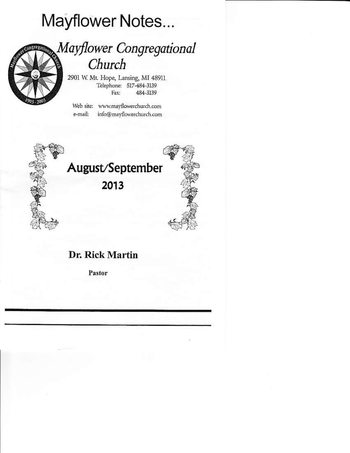# Mayflower Notes...



## Mayflower Congregational Church

2901 W. Mt. Hope, Lansing, MI 48911 Telephone: 517-484-3139 Fax: 484-3139

Web site: www.mayflowerchurch.com e-mail: info@mavflowerchurch.com



### Dr. Rick Martin

Pastor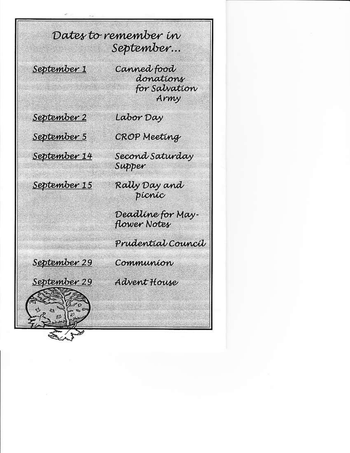Dates to remember in September...

September 1

Canned food donations for Salvation Army

September 2

September 5





**CROP Meeting** 

Labor Day

Second Saturday Supper

Rally Day and picnic

Deadline for Mayflower Notes

Prudential Council



妇

Communion

Advent House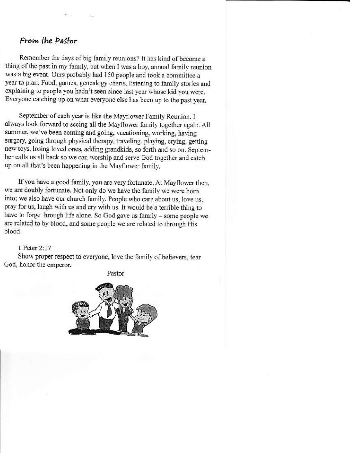#### From the Pastor

 $\mathcal{L}(\cdot)$ 

Remember the days of big family reunions? It has kind of become a thing of the past in my family, but when I was a boy, annual family reunion was a big event. Ours probably had 150 people and took a committee a year to plan. Food, games, genealogy charts, listening to family stories and explaining to people you hadn't seen since last year whose kid you were. Everyone catching up on what everyone else has been up to the past year.

September of each year is like the Mayflower Family Reunion. I always look forward to seeing all the Mayflower family together again. All summer, we've been coming and going, vacationing, working, having surgery, going through physical therapy, traveling, playing, crying, getting new toys, losing loved ones, adding grandkids, so forth and so on. September calls us all back so we can worship and serve God together and catch up on all that's been happening in the Mayflower family.

If you have a good family, you are very fortunate. At Mayflower then, we are doubly fortunate. Not only do we have the family we were born into; we also have our church family. People who care about us, love us, pray for us, laugh with us and cry with us. It would be a terrible thing to have to forge through life alone. So God gave us family - some people we are related to by blood, and some people we are related to through His blood.

1 Peter 2:17

Show proper respect to everyone, love the family of believers, fear God, honor the emperor.

Pastor

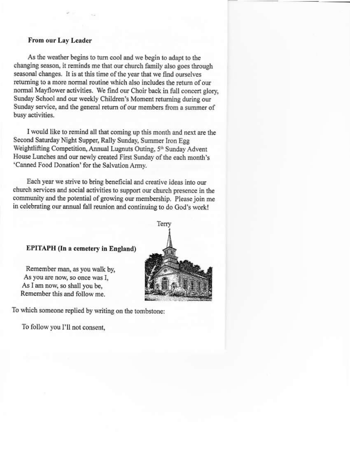#### From our Lay Leader

As the weather begins to turn cool and we begin to adapt to the changing season, it reminds me that our church family also goes through seasonal changes. It is at this time of the year that we find ourselves returning to a more normal routine which also includes the return of our normal Mayflower activities. We find our Choir back in full concert glory, Sunday School and our weekly Children's Moment returning during our Sunday service, and the general return of our members from a summer of busy activities.

I would like to remind all that coming up this month and next are the Second Saturday Night Supper, Rally Sunday, Summer Iron Egg Weightlifting Competition, Annual Lugnuts Outing, 5th Sunday Advent House Lunches and our newly created First Sunday of the each month's 'Canned Food Donation' for the Salvation Army.

Each year we strive to bring beneficial and creative ideas into our church services and social activities to support our church presence in the community and the potential of growing our membership. Please join me in celebrating our annual fall reunion and continuing to do God's work!

#### **EPITAPH** (In a cemetery in England)

Remember man, as you walk by, As you are now, so once was I, As I am now, so shall you be, Remember this and follow me.



To which someone replied by writing on the tombstone:

To follow you I'll not consent,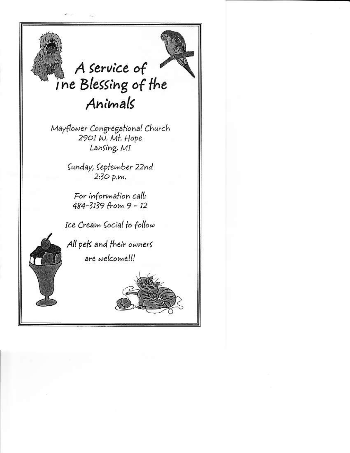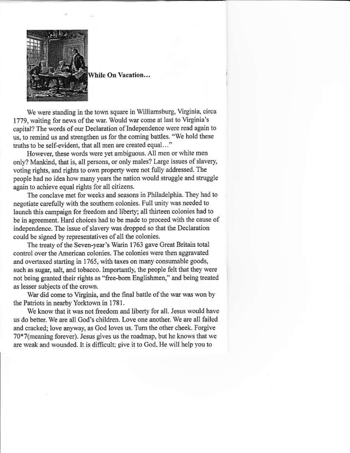

While On Vacation...

We were standing in the town square in Williamsburg, Virginia, circa 1779, waiting for news of the war. Would war come at last to Virginia's capital? The words of our Declaration of Independence were read again to us, to remind us and strengthen us for the coming battles. "We hold these truths to be self-evident, that all men are created equal..."

However, these words were yet ambiguous. All men or white men only? Mankind, that is, all persons, or only males? Large issues of slavery, voting rights, and rights to own property were not fully addressed. The people had no idea how many years the nation would struggle and struggle again to achieve equal rights for all citizens.

The conclave met for weeks and seasons in Philadelphia. They had to negotiate carefully with the southern colonies. Full unity was needed to launch this campaign for freedom and liberty; all thirteen colonies had to be in agreement. Hard choices had to be made to proceed with the cause of independence. The issue of slavery was dropped so that the Declaration could be signed by representatives of all the colonies.

The treaty of the Seven-year's Warin 1763 gave Great Britain total control over the American colonies. The colonies were then aggravated and overtaxed starting in 1765, with taxes on many consumable goods, such as sugar, salt, and tobacco. Importantly, the people felt that they were not being granted their rights as "free-born Englishmen," and being treated as lesser subjects of the crown.

War did come to Virginia, and the final battle of the war was won by the Patriots in nearby Yorktown in 1781.

We know that it was not freedom and liberty for all. Jesus would have us do better. We are all God's children. Love one another. We are all failed and cracked; love anyway, as God loves us. Turn the other cheek. Forgive 70\*7(meaning forever). Jesus gives us the roadmap, but he knows that we are weak and wounded. It is difficult; give it to God, He will help you to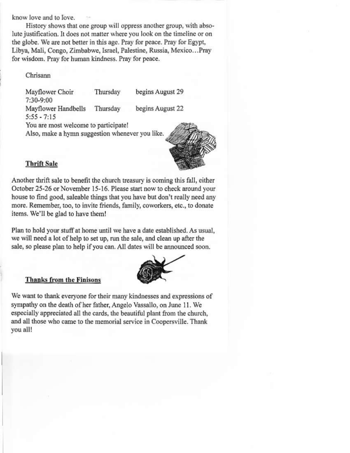know love and to love.

History shows that one group will oppress another group, with absolute justification. It does not matter where you look on the timeline or on the globe. We are not better in this age. Pray for peace. Pray for Egypt, Libya, Mali, Congo, Zimbabwe, Israel, Palestine, Russia, Mexico...Pray for wisdom. Pray for human kindness. Pray for peace.

#### Chrisann

Mayflower Choir Thursday begins August 29 7:30-9:00 Mayflower Handbells Thursday begins August 22  $5:55 - 7:15$ You are most welcome to participate! Also, make a hymn suggestion whenever you like.

#### **Thrift Sale**

Another thrift sale to benefit the church treasury is coming this fall, either October 25-26 or November 15-16. Please start now to check around your house to find good, saleable things that you have but don't really need any more. Remember, too, to invite friends, family, coworkers, etc., to donate items. We'll be glad to have them!

Plan to hold your stuff at home until we have a date established. As usual, we will need a lot of help to set up, run the sale, and clean up after the sale, so please plan to help if you can. All dates will be announced soon.

#### **Thanks from the Finisons**

We want to thank everyone for their many kindnesses and expressions of sympathy on the death of her father, Angelo Vassallo, on June 11. We especially appreciated all the cards, the beautiful plant from the church, and all those who came to the memorial service in Coopersville. Thank you all!



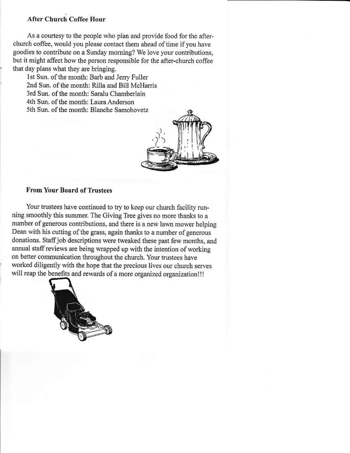#### **After Church Coffee Hour**

As a courtesy to the people who plan and provide food for the afterchurch coffee, would you please contact them ahead of time if you have goodies to contribute on a Sunday morning? We love your contributions, but it might affect how the person responsible for the after-church coffee that day plans what they are bringing.

1st Sun. of the month: Barb and Jerry Fuller 2nd Sun, of the month: Rilla and Bill McHarris 3rd Sun, of the month: Saralu Chamberlain 4th Sun, of the month: Laura Anderson 5th Sun, of the month: Blanche Samohovetz



#### **From Your Board of Trustees**

Your trustees have continued to try to keep our church facility running smoothly this summer. The Giving Tree gives no more thanks to a number of generous contributions, and there is a new lawn mower helping Dean with his cutting of the grass, again thanks to a number of generous donations. Staff job descriptions were tweaked these past few months, and annual staff reviews are being wrapped up with the intention of working on better communication throughout the church. Your trustees have worked diligently with the hope that the precious lives our church serves will reap the benefits and rewards of a more organized organization!!!

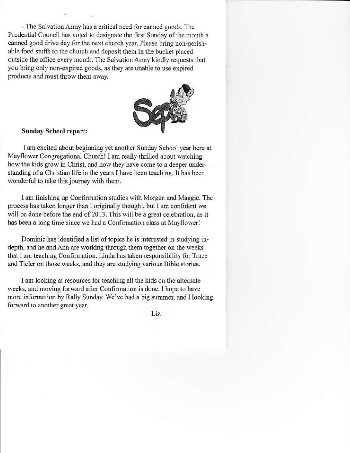- The Salvation Army has a critical need for canned goods. The Prudential Council has voted to designate the first Sunday of the month a canned good drive day for the next church year. Please bring non-perishable food stuffs to the church and deposit them in the bucket placed outside the office every month. The Salvation Army kindly requests that you bring only non-expired goods, as they are unable to use expired products and must throw them away.



#### **Sunday School report:**

I am excited about beginning yet another Sunday School year here at Mayflower Congregational Church! I am really thrilled about watching how the kids grow in Christ, and how they have come to a deeper understanding of a Christian life in the years I have been teaching. It has been wonderful to take this journey with them.

I am finishing up Confirmation studies with Morgan and Maggie. The process has taken longer than I originally thought, but I am confident we will be done before the end of 2013. This will be a great celebration, as it has been a long time since we had a Confirmation class at Mayflower!

Dominic has identified a list of topics he is interested in studying indepth, and he and Ann are working through them together on the weeks that I am teaching Confirmation. Linda has taken responsibility for Trace and Tieler on those weeks, and they are studying various Bible stories.

I am looking at resources for teaching all the kids on the alternate weeks, and moving forward after Confirmation is done. I hope to have more information by Rally Sunday. We've had a big summer, and I looking forward to another great year.